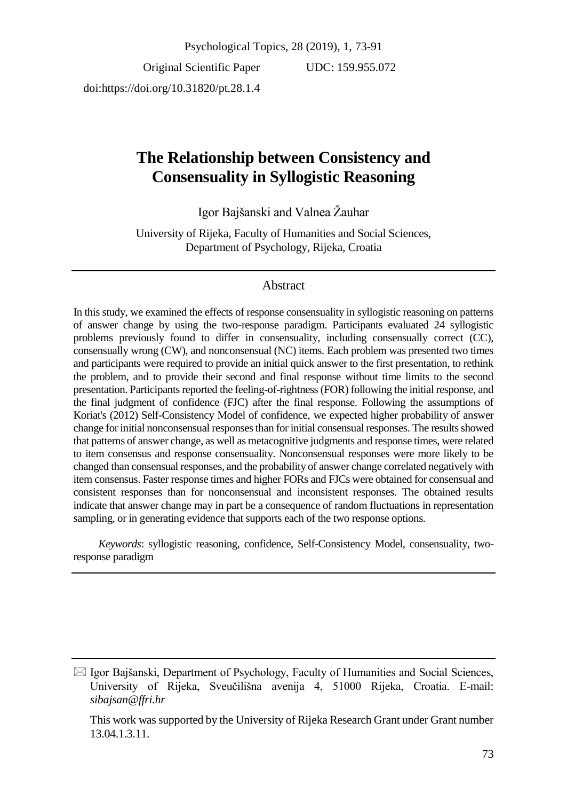Original Scientific Paper doi:https://doi.org/10.31820/pt.28.1.4

UDC: 159.955.072

# **The Relationship between Consistency and Consensuality in Syllogistic Reasoning**

Igor Bajšanski and Valnea Žauhar

University of Rijeka, Faculty of Humanities and Social Sciences, Department of Psychology, Rijeka, Croatia

# Abstract

In this study, we examined the effects of response consensuality in syllogistic reasoning on patterns of answer change by using the two-response paradigm. Participants evaluated 24 syllogistic problems previously found to differ in consensuality, including consensually correct (CC), consensually wrong (CW), and nonconsensual (NC) items. Each problem was presented two times and participants were required to provide an initial quick answer to the first presentation, to rethink the problem, and to provide their second and final response without time limits to the second presentation. Participants reported the feeling-of-rightness (FOR) following the initial response, and the final judgment of confidence (FJC) after the final response. Following the assumptions of Koriat's (2012) Self-Consistency Model of confidence, we expected higher probability of answer change for initial nonconsensual responsesthan for initial consensual responses. The results showed that patterns of answer change, as well as metacognitive judgments and response times, were related to item consensus and response consensuality. Nonconsensual responses were more likely to be changed than consensual responses, and the probability of answer change correlated negatively with item consensus. Faster response times and higher FORs and FJCs were obtained for consensual and consistent responses than for nonconsensual and inconsistent responses. The obtained results indicate that answer change may in part be a consequence of random fluctuations in representation sampling, or in generating evidence that supports each of the two response options.

*Keywords*: syllogistic reasoning, confidence, Self-Consistency Model, consensuality, tworesponse paradigm

 $\boxtimes$  Igor Bajšanski, Department of Psychology, Faculty of Humanities and Social Sciences, University of Rijeka, Sveučilišna avenija 4, 51000 Rijeka, Croatia. E-mail: *[sibajsan@ffri.hr](mailto:sibajsan@ffri.hr)*

This work was supported by the University of Rijeka Research Grant under Grant number 13.04.1.3.11.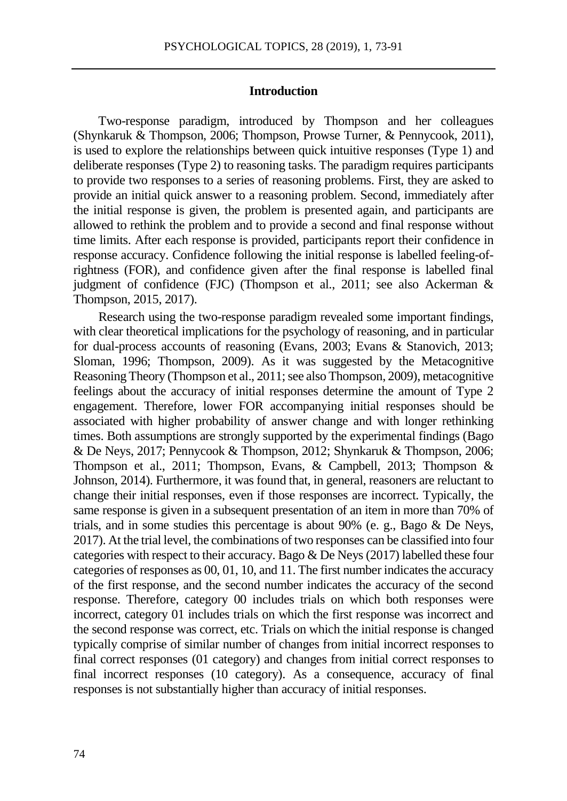### **Introduction**

Two-response paradigm, introduced by Thompson and her colleagues (Shynkaruk & Thompson, 2006; Thompson, Prowse Turner, & Pennycook, 2011), is used to explore the relationships between quick intuitive responses (Type 1) and deliberate responses (Type 2) to reasoning tasks. The paradigm requires participants to provide two responses to a series of reasoning problems. First, they are asked to provide an initial quick answer to a reasoning problem. Second, immediately after the initial response is given, the problem is presented again, and participants are allowed to rethink the problem and to provide a second and final response without time limits. After each response is provided, participants report their confidence in response accuracy. Confidence following the initial response is labelled feeling-ofrightness (FOR), and confidence given after the final response is labelled final judgment of confidence (FJC) (Thompson et al., 2011; see also Ackerman & Thompson, 2015, 2017).

Research using the two-response paradigm revealed some important findings, with clear theoretical implications for the psychology of reasoning, and in particular for dual-process accounts of reasoning (Evans, 2003; Evans & Stanovich, 2013; Sloman, 1996; Thompson, 2009). As it was suggested by the Metacognitive Reasoning Theory (Thompson et al., 2011; see also Thompson, 2009), metacognitive feelings about the accuracy of initial responses determine the amount of Type 2 engagement. Therefore, lower FOR accompanying initial responses should be associated with higher probability of answer change and with longer rethinking times. Both assumptions are strongly supported by the experimental findings (Bago & De Neys, 2017; Pennycook & Thompson, 2012; Shynkaruk & Thompson, 2006; Thompson et al., 2011; Thompson, Evans, & Campbell, 2013; Thompson & Johnson, 2014). Furthermore, it was found that, in general, reasoners are reluctant to change their initial responses, even if those responses are incorrect. Typically, the same response is given in a subsequent presentation of an item in more than 70% of trials, and in some studies this percentage is about 90% (e. g., Bago  $\&$  De Neys, 2017). At the trial level, the combinations of two responses can be classified into four categories with respect to their accuracy. Bago  $\&$  De Neys (2017) labelled these four categories of responses as 00, 01, 10, and 11. The first number indicates the accuracy of the first response, and the second number indicates the accuracy of the second response. Therefore, category 00 includes trials on which both responses were incorrect, category 01 includes trials on which the first response was incorrect and the second response was correct, etc. Trials on which the initial response is changed typically comprise of similar number of changes from initial incorrect responses to final correct responses (01 category) and changes from initial correct responses to final incorrect responses (10 category). As a consequence, accuracy of final responses is not substantially higher than accuracy of initial responses.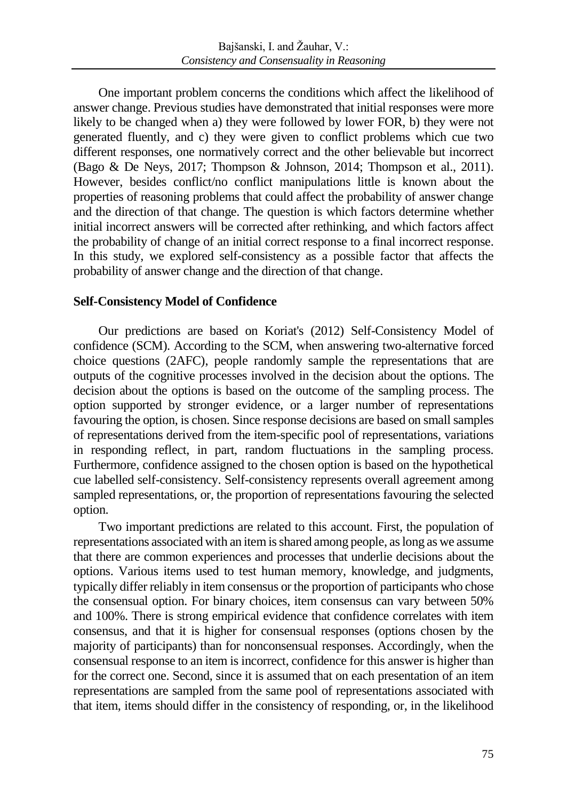One important problem concerns the conditions which affect the likelihood of answer change. Previous studies have demonstrated that initial responses were more likely to be changed when a) they were followed by lower FOR, b) they were not generated fluently, and c) they were given to conflict problems which cue two different responses, one normatively correct and the other believable but incorrect (Bago & De Neys, 2017; Thompson & Johnson, 2014; Thompson et al., 2011). However, besides conflict/no conflict manipulations little is known about the properties of reasoning problems that could affect the probability of answer change and the direction of that change. The question is which factors determine whether initial incorrect answers will be corrected after rethinking, and which factors affect the probability of change of an initial correct response to a final incorrect response. In this study, we explored self-consistency as a possible factor that affects the probability of answer change and the direction of that change.

# **Self-Consistency Model of Confidence**

Our predictions are based on Koriat's (2012) Self-Consistency Model of confidence (SCM). According to the SCM, when answering two-alternative forced choice questions (2AFC), people randomly sample the representations that are outputs of the cognitive processes involved in the decision about the options. The decision about the options is based on the outcome of the sampling process. The option supported by stronger evidence, or a larger number of representations favouring the option, is chosen. Since response decisions are based on small samples of representations derived from the item-specific pool of representations, variations in responding reflect, in part, random fluctuations in the sampling process. Furthermore, confidence assigned to the chosen option is based on the hypothetical cue labelled self-consistency. Self-consistency represents overall agreement among sampled representations, or, the proportion of representations favouring the selected option.

Two important predictions are related to this account. First, the population of representations associated with an item is shared among people, as long as we assume that there are common experiences and processes that underlie decisions about the options. Various items used to test human memory, knowledge, and judgments, typically differ reliably in item consensus or the proportion of participants who chose the consensual option. For binary choices, item consensus can vary between 50% and 100%. There is strong empirical evidence that confidence correlates with item consensus, and that it is higher for consensual responses (options chosen by the majority of participants) than for nonconsensual responses. Accordingly, when the consensual response to an item is incorrect, confidence for this answer is higher than for the correct one. Second, since it is assumed that on each presentation of an item representations are sampled from the same pool of representations associated with that item, items should differ in the consistency of responding, or, in the likelihood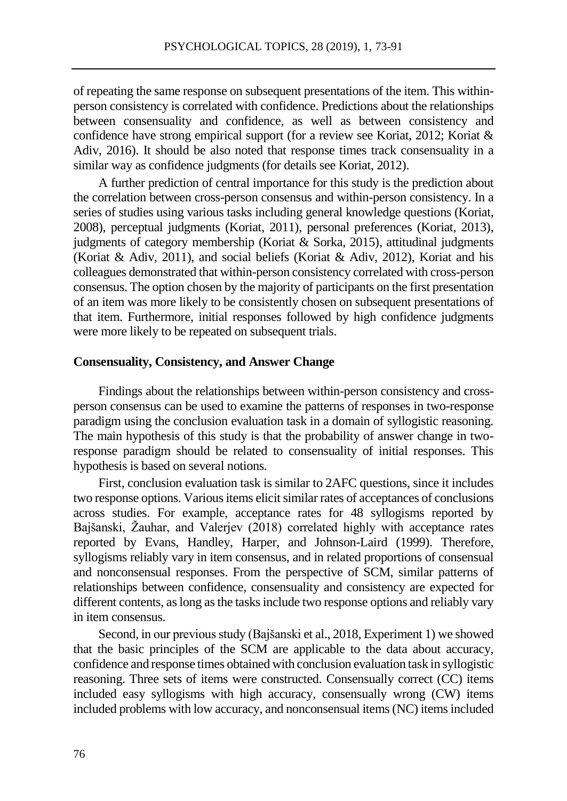of repeating the same response on subsequent presentations of the item. This withinperson consistency is correlated with confidence. Predictions about the relationships between consensuality and confidence, as well as between consistency and confidence have strong empirical support (for a review see Koriat, 2012; Koriat & Adiv, 2016). It should be also noted that response times track consensuality in a similar way as confidence judgments (for details see Koriat, 2012).

A further prediction of central importance for this study is the prediction about the correlation between cross-person consensus and within-person consistency. In a series of studies using various tasks including general knowledge questions (Koriat, 2008), perceptual judgments (Koriat, 2011), personal preferences (Koriat, 2013), judgments of category membership (Koriat & Sorka, 2015), attitudinal judgments (Koriat & Adiv, 2011), and social beliefs (Koriat & Adiv, 2012), Koriat and his colleagues demonstrated that within-person consistency correlated with cross-person consensus. The option chosen by the majority of participants on the first presentation of an item was more likely to be consistently chosen on subsequent presentations of that item. Furthermore, initial responses followed by high confidence judgments were more likely to be repeated on subsequent trials.

### **Consensuality, Consistency, and Answer Change**

Findings about the relationships between within-person consistency and crossperson consensus can be used to examine the patterns of responses in two-response paradigm using the conclusion evaluation task in a domain of syllogistic reasoning. The main hypothesis of this study is that the probability of answer change in tworesponse paradigm should be related to consensuality of initial responses. This hypothesis is based on several notions.

First, conclusion evaluation task is similar to 2AFC questions, since it includes two response options. Various items elicit similar rates of acceptances of conclusions across studies. For example, acceptance rates for 48 syllogisms reported by Bajšanski, Žauhar, and Valerjev (2018) correlated highly with acceptance rates reported by Evans, Handley, Harper, and Johnson-Laird (1999). Therefore, syllogisms reliably vary in item consensus, and in related proportions of consensual and nonconsensual responses. From the perspective of SCM, similar patterns of relationships between confidence, consensuality and consistency are expected for different contents, as long as the tasks include two response options and reliably vary in item consensus.

Second, in our previous study (Bajšanski et al., 2018, Experiment 1) we showed that the basic principles of the SCM are applicable to the data about accuracy, confidence and response times obtained with conclusion evaluation task in syllogistic reasoning. Three sets of items were constructed. Consensually correct (CC) items included easy syllogisms with high accuracy, consensually wrong (CW) items included problems with low accuracy, and nonconsensual items (NC) itemsincluded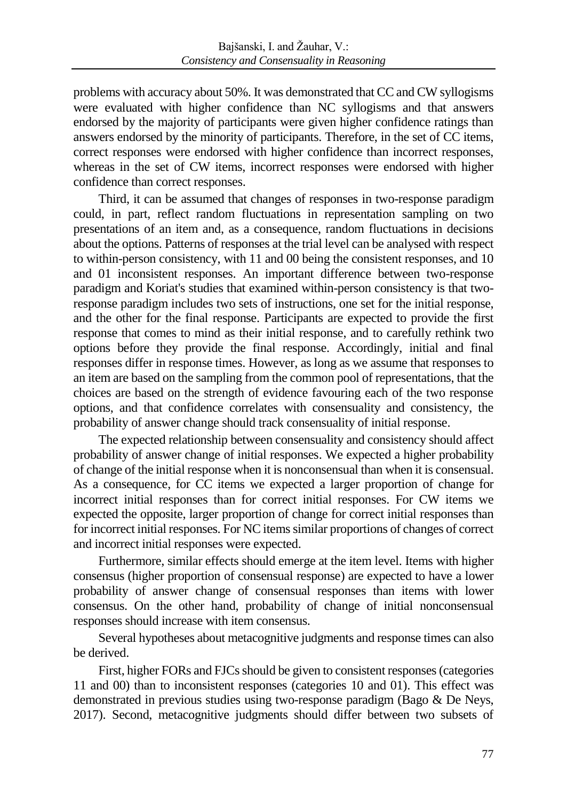problems with accuracy about 50%. It was demonstrated that CC and CW syllogisms were evaluated with higher confidence than NC syllogisms and that answers endorsed by the majority of participants were given higher confidence ratings than answers endorsed by the minority of participants. Therefore, in the set of CC items, correct responses were endorsed with higher confidence than incorrect responses, whereas in the set of CW items, incorrect responses were endorsed with higher confidence than correct responses.

Third, it can be assumed that changes of responses in two-response paradigm could, in part, reflect random fluctuations in representation sampling on two presentations of an item and, as a consequence, random fluctuations in decisions about the options. Patterns of responses at the trial level can be analysed with respect to within-person consistency, with 11 and 00 being the consistent responses, and 10 and 01 inconsistent responses. An important difference between two-response paradigm and Koriat's studies that examined within-person consistency is that tworesponse paradigm includes two sets of instructions, one set for the initial response, and the other for the final response. Participants are expected to provide the first response that comes to mind as their initial response, and to carefully rethink two options before they provide the final response. Accordingly, initial and final responses differ in response times. However, as long as we assume that responses to an item are based on the sampling from the common pool of representations, that the choices are based on the strength of evidence favouring each of the two response options, and that confidence correlates with consensuality and consistency, the probability of answer change should track consensuality of initial response.

The expected relationship between consensuality and consistency should affect probability of answer change of initial responses. We expected a higher probability of change of the initial response when it is nonconsensual than when it is consensual. As a consequence, for CC items we expected a larger proportion of change for incorrect initial responses than for correct initial responses. For CW items we expected the opposite, larger proportion of change for correct initial responses than for incorrect initial responses. For NC items similar proportions of changes of correct and incorrect initial responses were expected.

Furthermore, similar effects should emerge at the item level. Items with higher consensus (higher proportion of consensual response) are expected to have a lower probability of answer change of consensual responses than items with lower consensus. On the other hand, probability of change of initial nonconsensual responses should increase with item consensus.

Several hypotheses about metacognitive judgments and response times can also be derived.

First, higher FORs and FJCs should be given to consistent responses (categories 11 and 00) than to inconsistent responses (categories 10 and 01). This effect was demonstrated in previous studies using two-response paradigm (Bago & De Neys, 2017). Second, metacognitive judgments should differ between two subsets of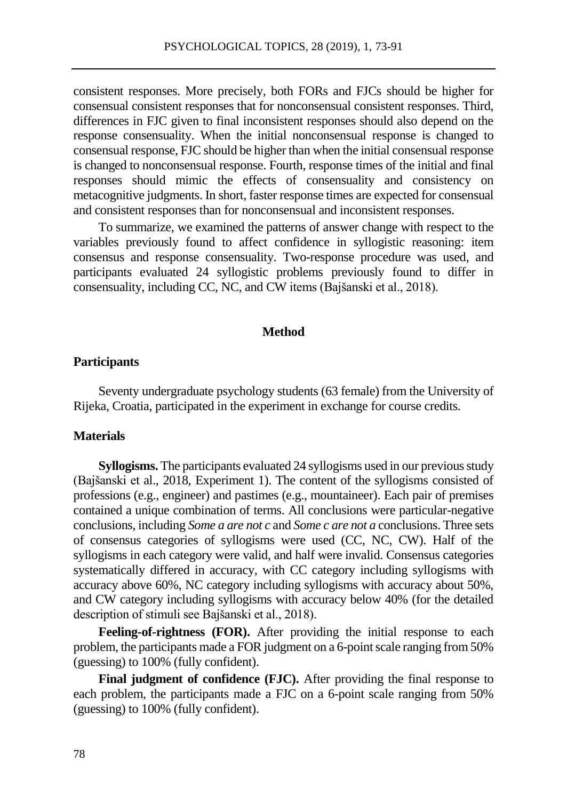consistent responses. More precisely, both FORs and FJCs should be higher for consensual consistent responses that for nonconsensual consistent responses. Third, differences in FJC given to final inconsistent responses should also depend on the response consensuality. When the initial nonconsensual response is changed to consensual response, FJC should be higher than when the initial consensual response is changed to nonconsensual response. Fourth, response times of the initial and final responses should mimic the effects of consensuality and consistency on metacognitive judgments. In short, faster response times are expected for consensual and consistent responses than for nonconsensual and inconsistent responses.

To summarize, we examined the patterns of answer change with respect to the variables previously found to affect confidence in syllogistic reasoning: item consensus and response consensuality. Two-response procedure was used, and participants evaluated 24 syllogistic problems previously found to differ in consensuality, including CC, NC, and CW items (Bajšanski et al., 2018).

### **Method**

### **Participants**

Seventy undergraduate psychology students (63 female) from the University of Rijeka, Croatia, participated in the experiment in exchange for course credits.

### **Materials**

**Syllogisms.** The participants evaluated 24 syllogisms used in our previous study (Bajšanski et al., 2018, Experiment 1). The content of the syllogisms consisted of professions (e.g., engineer) and pastimes (e.g., mountaineer). Each pair of premises contained a unique combination of terms. All conclusions were particular-negative conclusions, including *Some a are not c* and *Some c are not a* conclusions. Three sets of consensus categories of syllogisms were used (CC, NC, CW). Half of the syllogisms in each category were valid, and half were invalid. Consensus categories systematically differed in accuracy, with CC category including syllogisms with accuracy above 60%, NC category including syllogisms with accuracy about 50%, and CW category including syllogisms with accuracy below 40% (for the detailed description of stimuli see Bajšanski et al., 2018).

Feeling-of-rightness (FOR). After providing the initial response to each problem, the participants made a FOR judgment on a 6-point scale ranging from 50% (guessing) to 100% (fully confident).

**Final judgment of confidence (FJC).** After providing the final response to each problem, the participants made a FJC on a 6-point scale ranging from 50% (guessing) to 100% (fully confident).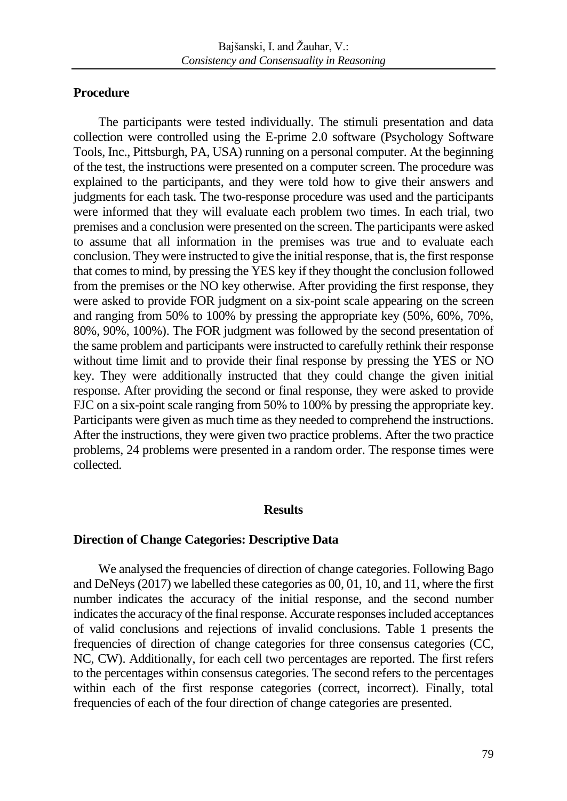# **Procedure**

The participants were tested individually. The stimuli presentation and data collection were controlled using the E-prime 2.0 software (Psychology Software Tools, Inc., Pittsburgh, PA, USA) running on a personal computer. At the beginning of the test, the instructions were presented on a computer screen. The procedure was explained to the participants, and they were told how to give their answers and judgments for each task. The two-response procedure was used and the participants were informed that they will evaluate each problem two times. In each trial, two premises and a conclusion were presented on the screen. The participants were asked to assume that all information in the premises was true and to evaluate each conclusion. They were instructed to give the initial response, that is, the first response that comes to mind, by pressing the YES key if they thought the conclusion followed from the premises or the NO key otherwise. After providing the first response, they were asked to provide FOR judgment on a six-point scale appearing on the screen and ranging from 50% to 100% by pressing the appropriate key (50%, 60%, 70%, 80%, 90%, 100%). The FOR judgment was followed by the second presentation of the same problem and participants were instructed to carefully rethink their response without time limit and to provide their final response by pressing the YES or NO key. They were additionally instructed that they could change the given initial response. After providing the second or final response, they were asked to provide FJC on a six-point scale ranging from 50% to 100% by pressing the appropriate key. Participants were given as much time as they needed to comprehend the instructions. After the instructions, they were given two practice problems. After the two practice problems, 24 problems were presented in a random order. The response times were collected.

### **Results**

### **Direction of Change Categories: Descriptive Data**

We analysed the frequencies of direction of change categories. Following Bago and DeNeys (2017) we labelled these categories as 00, 01, 10, and 11, where the first number indicates the accuracy of the initial response, and the second number indicates the accuracy of the final response. Accurate responses included acceptances of valid conclusions and rejections of invalid conclusions. Table 1 presents the frequencies of direction of change categories for three consensus categories (CC, NC, CW). Additionally, for each cell two percentages are reported. The first refers to the percentages within consensus categories. The second refers to the percentages within each of the first response categories (correct, incorrect). Finally, total frequencies of each of the four direction of change categories are presented.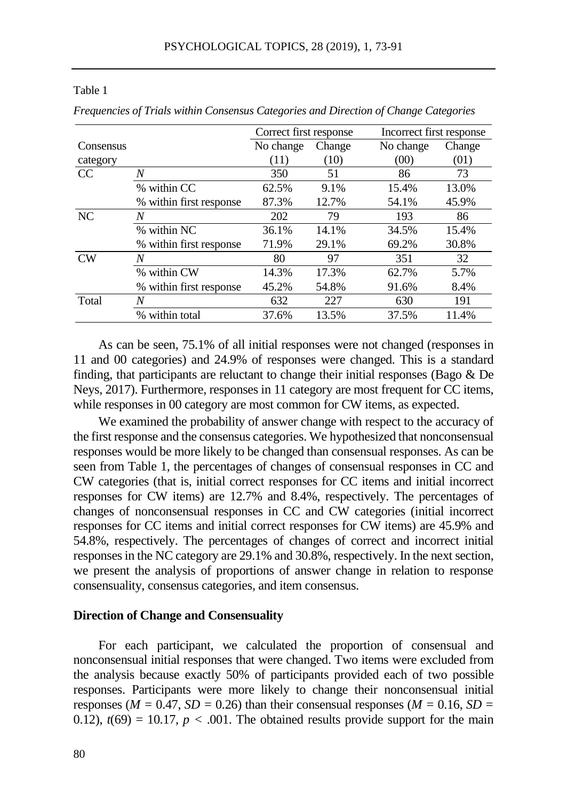|               |                         | Correct first response |        |           | Incorrect first response |  |
|---------------|-------------------------|------------------------|--------|-----------|--------------------------|--|
| Consensus     |                         | No change              | Change | No change | Change                   |  |
| category      |                         | (11)                   | (10)   | (00)      | (01)                     |  |
| <sub>CC</sub> | N                       | 350                    | 51     | 86        | 73                       |  |
|               | % within CC             | 62.5%                  | 9.1%   | 15.4%     | 13.0%                    |  |
|               | % within first response | 87.3%                  | 12.7%  | 54.1%     | 45.9%                    |  |
| NC            | N                       | 202                    | 79     | 193       | 86                       |  |
|               | % within NC             | 36.1%                  | 14.1%  | 34.5%     | 15.4%                    |  |
|               | % within first response | 71.9%                  | 29.1%  | 69.2%     | 30.8%                    |  |
| CW            | N                       | 80                     | 97     | 351       | 32                       |  |
|               | % within CW             | 14.3%                  | 17.3%  | 62.7%     | 5.7%                     |  |
|               | % within first response | 45.2%                  | 54.8%  | 91.6%     | 8.4%                     |  |
| Total         | N                       | 632                    | 227    | 630       | 191                      |  |
|               | % within total          | 37.6%                  | 13.5%  | 37.5%     | 11.4%                    |  |

#### Table 1

*Frequencies of Trials within Consensus Categories and Direction of Change Categories*

As can be seen, 75.1% of all initial responses were not changed (responses in 11 and 00 categories) and 24.9% of responses were changed. This is a standard finding, that participants are reluctant to change their initial responses (Bago & De Neys, 2017). Furthermore, responses in 11 category are most frequent for CC items, while responses in 00 category are most common for CW items, as expected.

We examined the probability of answer change with respect to the accuracy of the first response and the consensus categories. We hypothesized that nonconsensual responses would be more likely to be changed than consensual responses. As can be seen from Table 1, the percentages of changes of consensual responses in CC and CW categories (that is, initial correct responses for CC items and initial incorrect responses for CW items) are 12.7% and 8.4%, respectively. The percentages of changes of nonconsensual responses in CC and CW categories (initial incorrect responses for CC items and initial correct responses for CW items) are 45.9% and 54.8%, respectively. The percentages of changes of correct and incorrect initial responses in the NC category are 29.1% and 30.8%, respectively. In the next section, we present the analysis of proportions of answer change in relation to response consensuality, consensus categories, and item consensus.

### **Direction of Change and Consensuality**

For each participant, we calculated the proportion of consensual and nonconsensual initial responses that were changed. Two items were excluded from the analysis because exactly 50% of participants provided each of two possible responses. Participants were more likely to change their nonconsensual initial responses ( $M = 0.47$ ,  $SD = 0.26$ ) than their consensual responses ( $M = 0.16$ ,  $SD =$ 0.12),  $t(69) = 10.17$ ,  $p < .001$ . The obtained results provide support for the main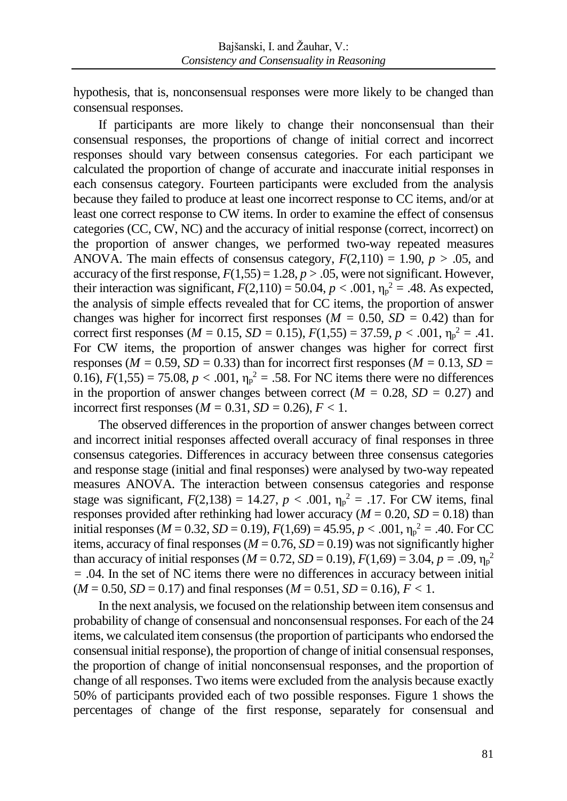hypothesis, that is, nonconsensual responses were more likely to be changed than consensual responses.

If participants are more likely to change their nonconsensual than their consensual responses, the proportions of change of initial correct and incorrect responses should vary between consensus categories. For each participant we calculated the proportion of change of accurate and inaccurate initial responses in each consensus category. Fourteen participants were excluded from the analysis because they failed to produce at least one incorrect response to CC items, and/or at least one correct response to CW items. In order to examine the effect of consensus categories (CC, CW, NC) and the accuracy of initial response (correct, incorrect) on the proportion of answer changes, we performed two-way repeated measures ANOVA. The main effects of consensus category,  $F(2,110) = 1.90$ ,  $p > .05$ , and accuracy of the first response,  $F(1,55) = 1.28$ ,  $p > .05$ , were not significant. However, their interaction was significant,  $F(2,110) = 50.04$ ,  $p < .001$ ,  $\eta_p^2 = .48$ . As expected, the analysis of simple effects revealed that for CC items, the proportion of answer changes was higher for incorrect first responses ( $M = 0.50$ ,  $SD = 0.42$ ) than for correct first responses ( $M = 0.15$ ,  $SD = 0.15$ ),  $F(1,55) = 37.59$ ,  $p < .001$ ,  $\eta_p^2 = .41$ . For CW items, the proportion of answer changes was higher for correct first responses ( $M = 0.59$ ,  $SD = 0.33$ ) than for incorrect first responses ( $M = 0.13$ ,  $SD =$ 0.16),  $F(1,55) = 75.08$ ,  $p < .001$ ,  $\eta_p^2 = .58$ . For NC items there were no differences in the proportion of answer changes between correct ( $M = 0.28$ ,  $SD = 0.27$ ) and incorrect first responses ( $M = 0.31$ ,  $SD = 0.26$ ),  $F < 1$ .

The observed differences in the proportion of answer changes between correct and incorrect initial responses affected overall accuracy of final responses in three consensus categories. Differences in accuracy between three consensus categories and response stage (initial and final responses) were analysed by two-way repeated measures ANOVA. The interaction between consensus categories and response stage was significant,  $F(2,138) = 14.27$ ,  $p < .001$ ,  $\eta_p^2 = .17$ . For CW items, final responses provided after rethinking had lower accuracy ( $M = 0.20$ ,  $SD = 0.18$ ) than initial responses ( $M = 0.32$ ,  $SD = 0.19$ ),  $F(1,69) = 45.95$ ,  $p < .001$ ,  $\eta_p^2 = .40$ . For CC items, accuracy of final responses ( $M = 0.76$ ,  $SD = 0.19$ ) was not significantly higher than accuracy of initial responses ( $M = 0.72$ ,  $SD = 0.19$ ),  $F(1,69) = 3.04$ ,  $p = .09$ ,  $\eta_p^2$ *=* .04. In the set of NC items there were no differences in accuracy between initial  $(M = 0.50, SD = 0.17)$  and final responses  $(M = 0.51, SD = 0.16)$ ,  $F < 1$ .

In the next analysis, we focused on the relationship between item consensus and probability of change of consensual and nonconsensual responses. For each of the 24 items, we calculated item consensus (the proportion of participants who endorsed the consensual initial response), the proportion of change of initial consensual responses, the proportion of change of initial nonconsensual responses, and the proportion of change of all responses. Two items were excluded from the analysis because exactly 50% of participants provided each of two possible responses. Figure 1 shows the percentages of change of the first response, separately for consensual and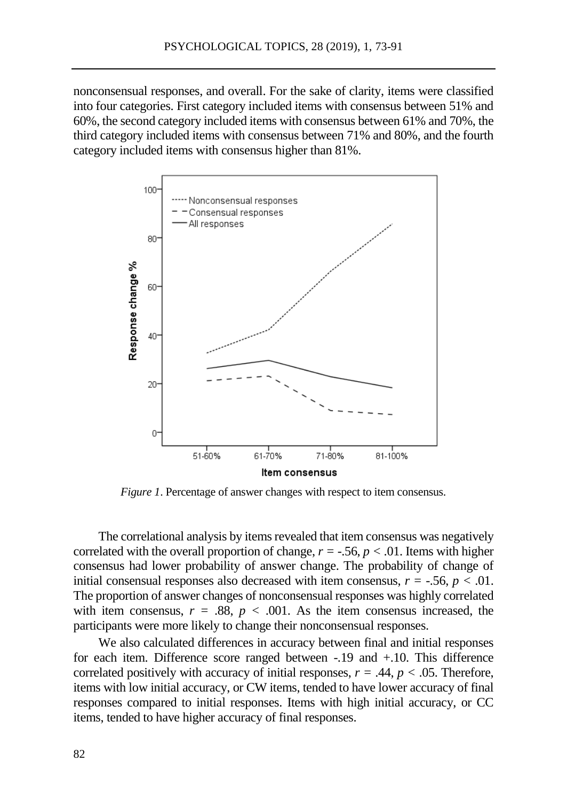nonconsensual responses, and overall. For the sake of clarity, items were classified into four categories. First category included items with consensus between 51% and 60%, the second category included items with consensus between 61% and 70%, the third category included items with consensus between 71% and 80%, and the fourth category included items with consensus higher than 81%.



*Figure 1*. Percentage of answer changes with respect to item consensus.

The correlational analysis by items revealed that item consensus was negatively correlated with the overall proportion of change,  $r = -0.56$ ,  $p < 0.01$ . Items with higher consensus had lower probability of answer change. The probability of change of initial consensual responses also decreased with item consensus,  $r = -0.56$ ,  $p < 0.01$ . The proportion of answer changes of nonconsensual responses was highly correlated with item consensus,  $r = .88$ ,  $p < .001$ . As the item consensus increased, the participants were more likely to change their nonconsensual responses.

We also calculated differences in accuracy between final and initial responses for each item. Difference score ranged between -.19 and +.10. This difference correlated positively with accuracy of initial responses,  $r = .44$ ,  $p < .05$ . Therefore, items with low initial accuracy, or CW items, tended to have lower accuracy of final responses compared to initial responses. Items with high initial accuracy, or CC items, tended to have higher accuracy of final responses.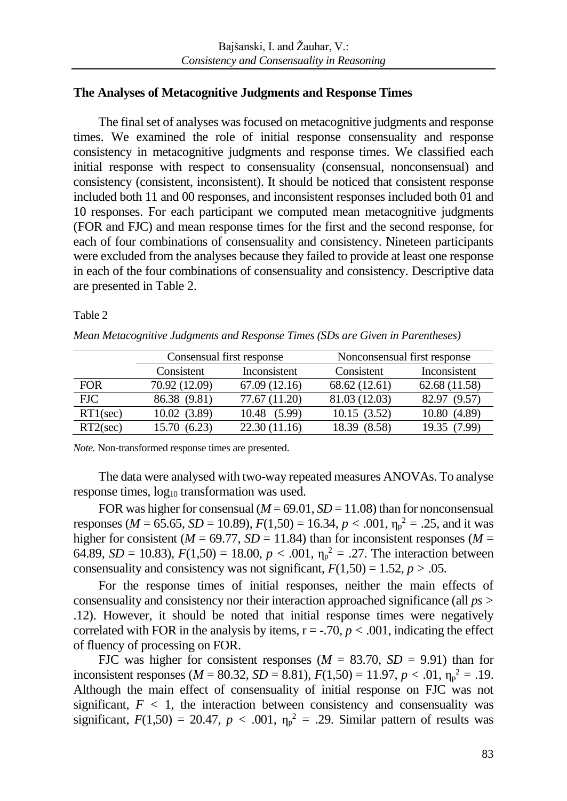# **The Analyses of Metacognitive Judgments and Response Times**

The final set of analyses was focused on metacognitive judgments and response times. We examined the role of initial response consensuality and response consistency in metacognitive judgments and response times. We classified each initial response with respect to consensuality (consensual, nonconsensual) and consistency (consistent, inconsistent). It should be noticed that consistent response included both 11 and 00 responses, and inconsistent responses included both 01 and 10 responses. For each participant we computed mean metacognitive judgments (FOR and FJC) and mean response times for the first and the second response, for each of four combinations of consensuality and consistency. Nineteen participants were excluded from the analyses because they failed to provide at least one response in each of the four combinations of consensuality and consistency. Descriptive data are presented in Table 2.

Table 2

|            | Consensual first response |                 | Nonconsensual first response |                 |  |
|------------|---------------------------|-----------------|------------------------------|-----------------|--|
|            | Consistent                | Inconsistent    | Consistent                   | Inconsistent    |  |
| <b>FOR</b> | 70.92 (12.09)             | 67.09(12.16)    | 68.62 (12.61)                | 62.68(11.58)    |  |
| <b>FJC</b> | 86.38 (9.81)              | 77.67 (11.20)   | 81.03 (12.03)                | (9.57)<br>82.97 |  |
| RT1(sec)   | 10.02 (3.89)              | 10.48<br>(5.99) | 10.15(3.52)                  | (4.89)<br>10.80 |  |
| RT2(sec)   | 15.70 (6.23)              | 22.30(11.16)    | 18.39<br>(8.58)              | 19.35 (7.99)    |  |

*Mean Metacognitive Judgments and Response Times (SDs are Given in Parentheses)* 

*Note.* Non-transformed response times are presented.

The data were analysed with two-way repeated measures ANOVAs. To analyse response times,  $log_{10}$  transformation was used.

FOR was higher for consensual  $(M = 69.01, SD = 11.08)$  than for nonconsensual responses ( $M = 65.65$ ,  $SD = 10.89$ ),  $F(1,50) = 16.34$ ,  $p < .001$ ,  $\eta_p^2 = .25$ , and it was higher for consistent ( $M = 69.77$ ,  $SD = 11.84$ ) than for inconsistent responses ( $M =$ 64.89, *SD* = 10.83),  $F(1,50) = 18.00$ ,  $p < .001$ ,  $\eta_p^2 = .27$ . The interaction between consensuality and consistency was not significant,  $F(1,50) = 1.52$ ,  $p > .05$ .

For the response times of initial responses, neither the main effects of consensuality and consistency nor their interaction approached significance (all *ps >* .12). However, it should be noted that initial response times were negatively correlated with FOR in the analysis by items,  $r = -.70$ ,  $p < .001$ , indicating the effect of fluency of processing on FOR.

FJC was higher for consistent responses ( $M = 83.70$ ,  $SD = 9.91$ ) than for inconsistent responses ( $M = 80.32$ ,  $SD = 8.81$ ),  $F(1,50) = 11.97$ ,  $p < .01$ ,  $\eta_p^2 = .19$ . Although the main effect of consensuality of initial response on FJC was not significant,  $F < 1$ , the interaction between consistency and consensuality was significant,  $F(1,50) = 20.47$ ,  $p < .001$ ,  $\eta_p^2 = .29$ . Similar pattern of results was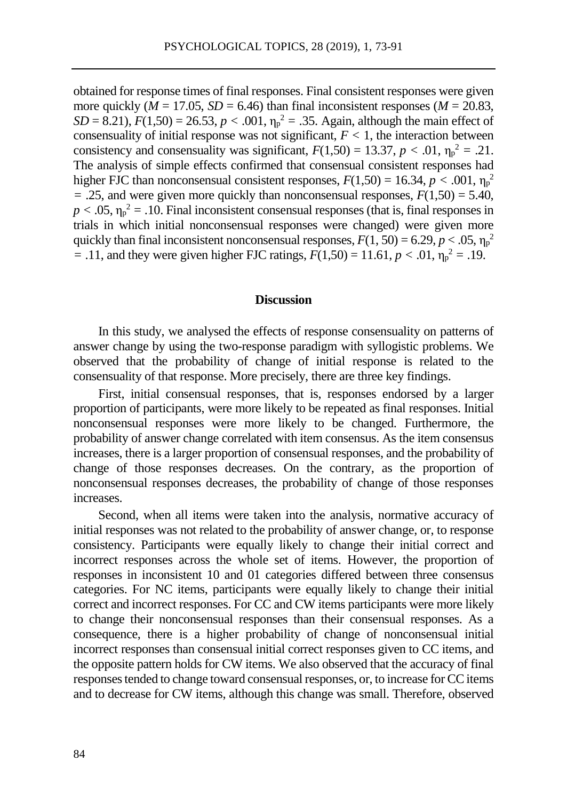obtained for response times of final responses. Final consistent responses were given more quickly  $(M = 17.05, SD = 6.46)$  than final inconsistent responses  $(M = 20.83,$  $SD = 8.21$ ,  $F(1,50) = 26.53$ ,  $p < .001$ ,  $\eta_p^2 = .35$ . Again, although the main effect of consensuality of initial response was not significant,  $F < 1$ , the interaction between consistency and consensuality was significant,  $F(1,50) = 13.37$ ,  $p < .01$ ,  $\eta_p^2 = .21$ . The analysis of simple effects confirmed that consensual consistent responses had higher FJC than nonconsensual consistent responses,  $F(1,50) = 16.34, p < .001, \eta_p^2$  $=$  .25, and were given more quickly than nonconsensual responses,  $F(1,50) = 5.40$ ,  $p < .05$ ,  $\eta_p^2 = .10$ . Final inconsistent consensual responses (that is, final responses in trials in which initial nonconsensual responses were changed) were given more quickly than final inconsistent nonconsensual responses,  $F(1, 50) = 6.29$ ,  $p < .05$ ,  $\eta_p^2$ *=* .11, and they were given higher FJC ratings,  $F(1,50) = 11.61$ ,  $p < .01$ ,  $\eta_p^2 = .19$ .

### **Discussion**

In this study, we analysed the effects of response consensuality on patterns of answer change by using the two-response paradigm with syllogistic problems. We observed that the probability of change of initial response is related to the consensuality of that response. More precisely, there are three key findings.

First, initial consensual responses, that is, responses endorsed by a larger proportion of participants, were more likely to be repeated as final responses. Initial nonconsensual responses were more likely to be changed. Furthermore, the probability of answer change correlated with item consensus. As the item consensus increases, there is a larger proportion of consensual responses, and the probability of change of those responses decreases. On the contrary, as the proportion of nonconsensual responses decreases, the probability of change of those responses increases.

Second, when all items were taken into the analysis, normative accuracy of initial responses was not related to the probability of answer change, or, to response consistency. Participants were equally likely to change their initial correct and incorrect responses across the whole set of items. However, the proportion of responses in inconsistent 10 and 01 categories differed between three consensus categories. For NC items, participants were equally likely to change their initial correct and incorrect responses. For CC and CW items participants were more likely to change their nonconsensual responses than their consensual responses. As a consequence, there is a higher probability of change of nonconsensual initial incorrect responses than consensual initial correct responses given to CC items, and the opposite pattern holds for CW items. We also observed that the accuracy of final responses tended to change toward consensual responses, or, to increase for CC items and to decrease for CW items, although this change was small. Therefore, observed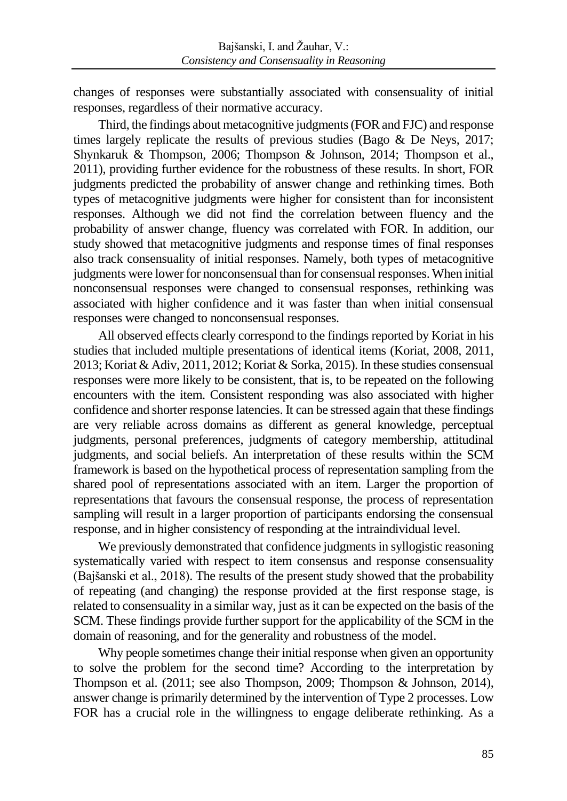changes of responses were substantially associated with consensuality of initial responses, regardless of their normative accuracy.

Third, the findings about metacognitive judgments (FOR and FJC) and response times largely replicate the results of previous studies (Bago & De Neys, 2017; Shynkaruk & Thompson, 2006; Thompson & Johnson, 2014; Thompson et al., 2011), providing further evidence for the robustness of these results. In short, FOR judgments predicted the probability of answer change and rethinking times. Both types of metacognitive judgments were higher for consistent than for inconsistent responses. Although we did not find the correlation between fluency and the probability of answer change, fluency was correlated with FOR. In addition, our study showed that metacognitive judgments and response times of final responses also track consensuality of initial responses. Namely, both types of metacognitive judgments were lower for nonconsensual than for consensual responses. When initial nonconsensual responses were changed to consensual responses, rethinking was associated with higher confidence and it was faster than when initial consensual responses were changed to nonconsensual responses.

All observed effects clearly correspond to the findings reported by Koriat in his studies that included multiple presentations of identical items (Koriat, 2008, 2011, 2013; Koriat & Adiv, 2011, 2012; Koriat & Sorka, 2015). In these studies consensual responses were more likely to be consistent, that is, to be repeated on the following encounters with the item. Consistent responding was also associated with higher confidence and shorter response latencies. It can be stressed again that these findings are very reliable across domains as different as general knowledge, perceptual judgments, personal preferences, judgments of category membership, attitudinal judgments, and social beliefs. An interpretation of these results within the SCM framework is based on the hypothetical process of representation sampling from the shared pool of representations associated with an item. Larger the proportion of representations that favours the consensual response, the process of representation sampling will result in a larger proportion of participants endorsing the consensual response, and in higher consistency of responding at the intraindividual level.

We previously demonstrated that confidence judgments in syllogistic reasoning systematically varied with respect to item consensus and response consensuality (Bajšanski et al., 2018). The results of the present study showed that the probability of repeating (and changing) the response provided at the first response stage, is related to consensuality in a similar way, just as it can be expected on the basis of the SCM. These findings provide further support for the applicability of the SCM in the domain of reasoning, and for the generality and robustness of the model.

Why people sometimes change their initial response when given an opportunity to solve the problem for the second time? According to the interpretation by Thompson et al. (2011; see also Thompson, 2009; Thompson & Johnson, 2014), answer change is primarily determined by the intervention of Type 2 processes. Low FOR has a crucial role in the willingness to engage deliberate rethinking. As a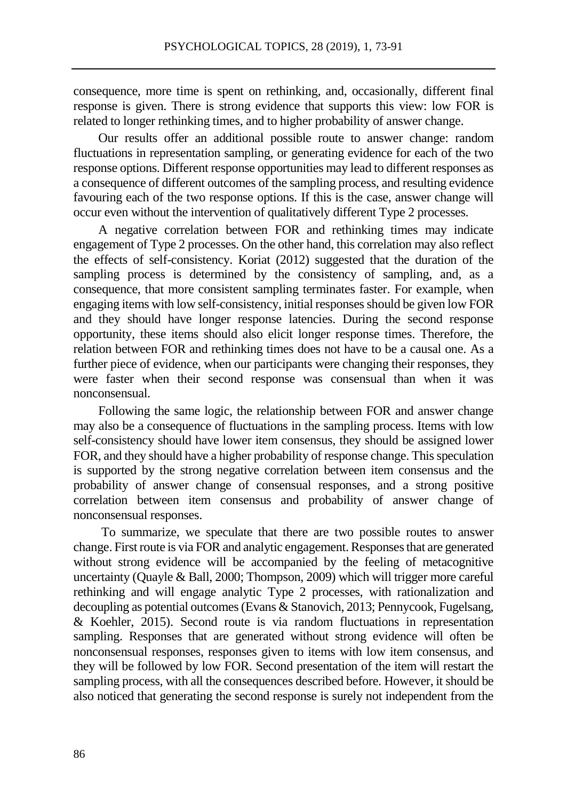consequence, more time is spent on rethinking, and, occasionally, different final response is given. There is strong evidence that supports this view: low FOR is related to longer rethinking times, and to higher probability of answer change.

Our results offer an additional possible route to answer change: random fluctuations in representation sampling, or generating evidence for each of the two response options. Different response opportunities may lead to different responses as a consequence of different outcomes of the sampling process, and resulting evidence favouring each of the two response options. If this is the case, answer change will occur even without the intervention of qualitatively different Type 2 processes.

A negative correlation between FOR and rethinking times may indicate engagement of Type 2 processes. On the other hand, this correlation may also reflect the effects of self-consistency. Koriat (2012) suggested that the duration of the sampling process is determined by the consistency of sampling, and, as a consequence, that more consistent sampling terminates faster. For example, when engaging items with low self-consistency, initial responses should be given low FOR and they should have longer response latencies. During the second response opportunity, these items should also elicit longer response times. Therefore, the relation between FOR and rethinking times does not have to be a causal one. As a further piece of evidence, when our participants were changing their responses, they were faster when their second response was consensual than when it was nonconsensual.

Following the same logic, the relationship between FOR and answer change may also be a consequence of fluctuations in the sampling process. Items with low self-consistency should have lower item consensus, they should be assigned lower FOR, and they should have a higher probability of response change. This speculation is supported by the strong negative correlation between item consensus and the probability of answer change of consensual responses, and a strong positive correlation between item consensus and probability of answer change of nonconsensual responses.

To summarize, we speculate that there are two possible routes to answer change. First route is via FOR and analytic engagement. Responses that are generated without strong evidence will be accompanied by the feeling of metacognitive uncertainty (Quayle & Ball, 2000; Thompson, 2009) which will trigger more careful rethinking and will engage analytic Type 2 processes, with rationalization and decoupling as potential outcomes (Evans & Stanovich, 2013; Pennycook, Fugelsang, & Koehler, 2015). Second route is via random fluctuations in representation sampling. Responses that are generated without strong evidence will often be nonconsensual responses, responses given to items with low item consensus, and they will be followed by low FOR. Second presentation of the item will restart the sampling process, with all the consequences described before. However, it should be also noticed that generating the second response is surely not independent from the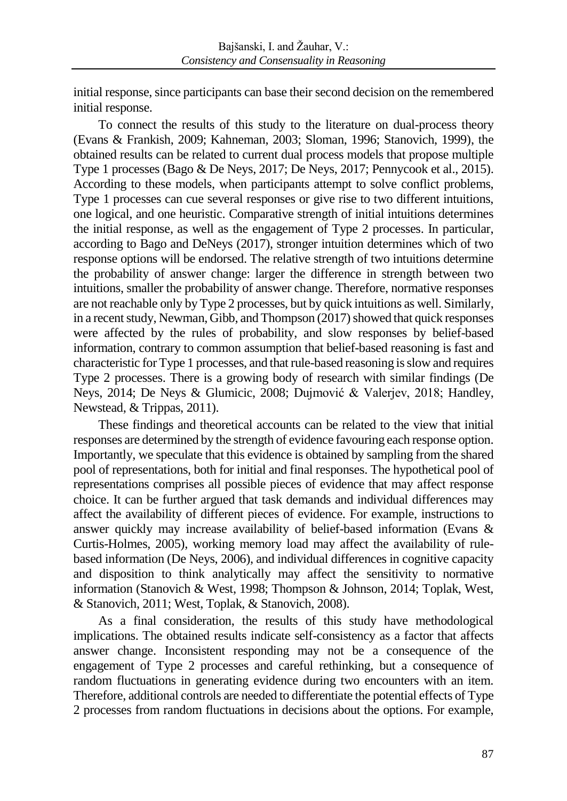initial response, since participants can base their second decision on the remembered initial response.

To connect the results of this study to the literature on dual-process theory (Evans & Frankish, 2009; Kahneman, 2003; Sloman, 1996; Stanovich, 1999), the obtained results can be related to current dual process models that propose multiple Type 1 processes (Bago & De Neys, 2017; De Neys, 2017; Pennycook et al., 2015). According to these models, when participants attempt to solve conflict problems, Type 1 processes can cue several responses or give rise to two different intuitions, one logical, and one heuristic. Comparative strength of initial intuitions determines the initial response, as well as the engagement of Type 2 processes. In particular, according to Bago and DeNeys (2017), stronger intuition determines which of two response options will be endorsed. The relative strength of two intuitions determine the probability of answer change: larger the difference in strength between two intuitions, smaller the probability of answer change. Therefore, normative responses are not reachable only by Type 2 processes, but by quick intuitions as well. Similarly, in a recent study, Newman, Gibb, and Thompson (2017) showed that quick responses were affected by the rules of probability, and slow responses by belief-based information, contrary to common assumption that belief-based reasoning is fast and characteristic for Type 1 processes, and that rule-based reasoning is slow and requires Type 2 processes. There is a growing body of research with similar findings (De Neys, 2014; De Neys & Glumicic, 2008; Dujmović & Valerjev, 2018; Handley, Newstead, & Trippas, 2011).

These findings and theoretical accounts can be related to the view that initial responses are determined by the strength of evidence favouring each response option. Importantly, we speculate that this evidence is obtained by sampling from the shared pool of representations, both for initial and final responses. The hypothetical pool of representations comprises all possible pieces of evidence that may affect response choice. It can be further argued that task demands and individual differences may affect the availability of different pieces of evidence. For example, instructions to answer quickly may increase availability of belief-based information (Evans & Curtis-Holmes, 2005), working memory load may affect the availability of rulebased information (De Neys, 2006), and individual differences in cognitive capacity and disposition to think analytically may affect the sensitivity to normative information (Stanovich & West, 1998; Thompson & Johnson, 2014; Toplak, West, & Stanovich, 2011; West, Toplak, & Stanovich, 2008).

As a final consideration, the results of this study have methodological implications. The obtained results indicate self-consistency as a factor that affects answer change. Inconsistent responding may not be a consequence of the engagement of Type 2 processes and careful rethinking, but a consequence of random fluctuations in generating evidence during two encounters with an item. Therefore, additional controls are needed to differentiate the potential effects of Type 2 processes from random fluctuations in decisions about the options. For example,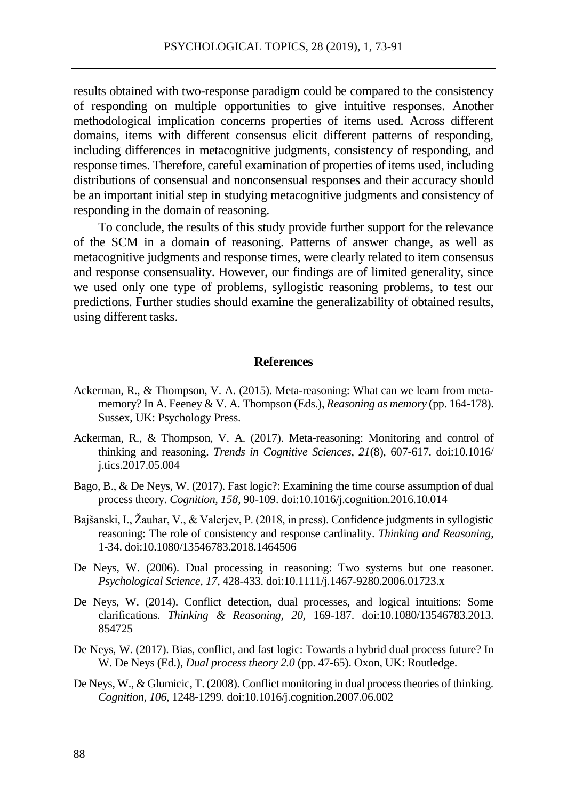results obtained with two-response paradigm could be compared to the consistency of responding on multiple opportunities to give intuitive responses. Another methodological implication concerns properties of items used. Across different domains, items with different consensus elicit different patterns of responding, including differences in metacognitive judgments, consistency of responding, and response times. Therefore, careful examination of properties of items used, including distributions of consensual and nonconsensual responses and their accuracy should be an important initial step in studying metacognitive judgments and consistency of responding in the domain of reasoning.

To conclude, the results of this study provide further support for the relevance of the SCM in a domain of reasoning. Patterns of answer change, as well as metacognitive judgments and response times, were clearly related to item consensus and response consensuality. However, our findings are of limited generality, since we used only one type of problems, syllogistic reasoning problems, to test our predictions. Further studies should examine the generalizability of obtained results, using different tasks.

### **References**

- Ackerman, R., & Thompson, V. A. (2015). Meta-reasoning: What can we learn from metamemory? In A. Feeney & V. A. Thompson (Eds.), *Reasoning as memory* (pp. 164-178). Sussex, UK: Psychology Press.
- Ackerman, R., & Thompson, V. A. (2017). Meta-reasoning: Monitoring and control of thinking and reasoning. *Trends in Cognitive Sciences, 21*(8), 607-617. doi:10.1016/ j.tics.2017.05.004
- Bago, B., & De Neys, W. (2017). Fast logic?: Examining the time course assumption of dual process theory. *Cognition, 158,* 90-109. doi:10.1016/j.cognition.2016.10.014
- Bajšanski, I., Žauhar, V., & Valerjev, P. (2018, in press)[. Confidence judgments in syllogistic](https://philpapers.org/go.pl?id=BAJCJI&proxyId=&u=http%3A%2F%2Fdx.doi.org%2F10.1080%2F13546783.2018.1464506)  [reasoning: The role of consistency and response cardinality.](https://philpapers.org/go.pl?id=BAJCJI&proxyId=&u=http%3A%2F%2Fdx.doi.org%2F10.1080%2F13546783.2018.1464506) *Thinking and Reasoning*, 1-34. doi:10.1080/13546783.2018.1464506
- De Neys, W. (2006). Dual processing in reasoning: Two systems but one reasoner. *Psychological Science, 17*, 428-433. doi:10.1111/j.1467-9280.2006.01723.x
- De Neys, W. (2014). Conflict detection, dual processes, and logical intuitions: Some clarifications. *Thinking & Reasoning, 20,* 169-187. doi:10.1080/13546783.2013. 854725
- De Neys, W. (2017). Bias, conflict, and fast logic: Towards a hybrid dual process future? In W. De Neys (Ed.), *Dual process theory 2.0* (pp. 47-65). Oxon, UK: Routledge.
- De Neys, W., & Glumicic, T. (2008). Conflict monitoring in dual process theories of thinking. *Cognition, 106,* 1248-1299. doi:10.1016/j.cognition.2007.06.002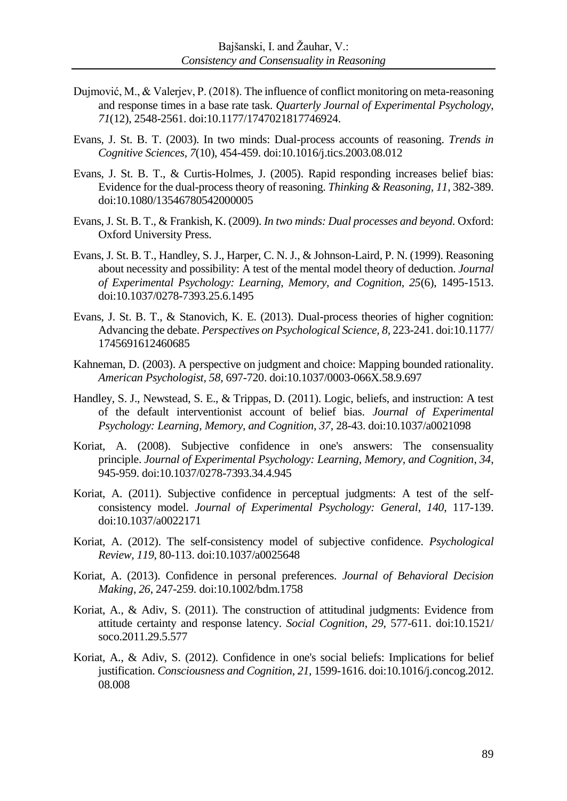- Dujmović, M., & Valerjev, P. (2018). The influence of conflict monitoring on meta-reasoning and response times in a base rate task. *Quarterly Journal of Experimental Psychology*, *71*(12), 2548-2561. doi:10.1177/1747021817746924.
- Evans, J. St. B. T. (2003). In two minds: Dual-process accounts of reasoning. *Trends in Cognitive Sciences, 7*(10), 454-459. doi:10.1016/j.tics.2003.08.012
- Evans, J. St. B. T., & Curtis-Holmes, J. (2005). Rapid responding increases belief bias: Evidence for the dual-process theory of reasoning. *Thinking & Reasoning, 11,* 382-389. doi:10.1080/13546780542000005
- Evans, J. St. B. T., & Frankish, K. (2009). *In two minds: Dual processes and beyond.* Oxford: Oxford University Press.
- Evans, J. St. B. T., Handley, S. J., Harper, C. N. J., & Johnson-Laird, P. N. (1999). Reasoning about necessity and possibility: A test of the mental model theory of deduction. *Journal of Experimental Psychology: Learning, Memory, and Cognition, 25*(6), 1495-1513. doi:10.1037/0278-7393.25.6.1495
- Evans, J. St. B. T., & Stanovich, K. E. (2013). Dual-process theories of higher cognition: Advancing the debate. *Perspectives on Psychological Science, 8,* 223-241. doi:10.1177/ 1745691612460685
- Kahneman, D. (2003). A perspective on judgment and choice: Mapping bounded rationality. *American Psychologist, 58,* 697-720. doi:10.1037/0003-066X.58.9.697
- Handley, S. J., Newstead, S. E., & Trippas, D. (2011). Logic, beliefs, and instruction: A test of the default interventionist account of belief bias. *Journal of Experimental Psychology: Learning, Memory, and Cognition, 37,* 28-43. doi:10.1037/a0021098
- Koriat, A. (2008). Subjective confidence in one's answers: The consensuality principle. *Journal of Experimental Psychology: Learning, Memory, and Cognition*, *34*, 945-959. doi:10.1037/0278-7393.34.4.945
- Koriat, A. (2011). Subjective confidence in perceptual judgments: A test of the selfconsistency model. *Journal of Experimental Psychology: General*, *140*, 117-139. doi:10.1037/a0022171
- Koriat, A. (2012). The self-consistency model of subjective confidence. *Psychological Review, 119,* 80-113. doi:10.1037/a0025648
- Koriat, A. (2013). Confidence in personal preferences. *Journal of Behavioral Decision Making*, *26*, 247-259*.* doi:10.1002/bdm.1758
- Koriat, A., & Adiv, S. (2011). The construction of attitudinal judgments: Evidence from attitude certainty and response latency. *Social Cognition*, *29*, 577-611. doi:10.1521/ soco.2011.29.5.577
- Koriat, A., & Adiv, S. (2012). Confidence in one's social beliefs: Implications for belief justification. *Consciousness and Cognition*, *21,* 1599-1616. doi:10.1016/j.concog.2012. 08.008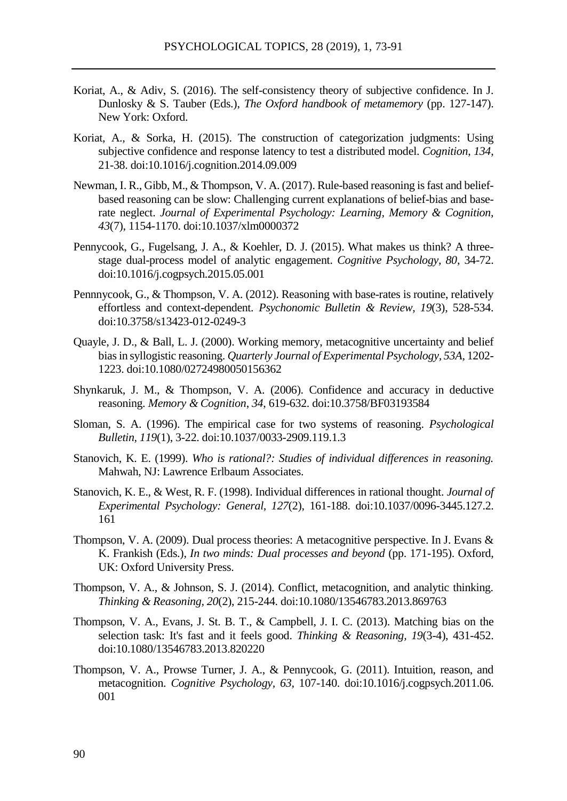- Koriat, A., & Adiv, S. (2016). The self-consistency theory of subjective confidence. In J. Dunlosky & S. Tauber (Eds.), *The Oxford handbook of metamemory* (pp. 127-147). New York: Oxford.
- Koriat, A., & Sorka, H. (2015). The construction of categorization judgments: Using subjective confidence and response latency to test a distributed model. *Cognition*, *134*, 21-38. doi:10.1016/j.cognition.2014.09.009
- Newman, I. R., Gibb, M., & Thompson, V. A. (2017). Rule-based reasoning is fast and beliefbased reasoning can be slow: Challenging current explanations of belief-bias and baserate neglect. *Journal of Experimental Psychology: Learning, Memory & Cognition, 43*(7), 1154-1170. doi:10.1037/xlm0000372
- Pennycook, G., Fugelsang, J. A., & Koehler, D. J. (2015). What makes us think? A threestage dual-process model of analytic engagement. *Cognitive Psychology, 80,* 34-72. doi:10.1016/j.cogpsych.2015.05.001
- Pennnycook, G., & Thompson, V. A. (2012). Reasoning with base-rates is routine, relatively effortless and context-dependent. *Psychonomic Bulletin & Review*, *19*(3), 528-534. doi:10.3758/s13423-012-0249-3
- Quayle, J. D., & Ball, L. J. (2000). Working memory, metacognitive uncertainty and belief bias in syllogistic reasoning. *Quarterly Journal of Experimental Psychology, 53A,* 1202- 1223. doi:10.1080/02724980050156362
- Shynkaruk, J. M., & Thompson, V. A. (2006). Confidence and accuracy in deductive reasoning. *Memory & Cognition*, *34*, 619-632. doi:10.3758/BF03193584
- Sloman, S. A. (1996). The empirical case for two systems of reasoning. *Psychological Bulletin, 119*(1), 3-22. doi:10.1037/0033-2909.119.1.3
- Stanovich, K. E. (1999). *Who is rational?: Studies of individual differences in reasoning.* Mahwah, NJ: Lawrence Erlbaum Associates.
- Stanovich, K. E., & West, R. F. (1998). Individual differences in rational thought. *Journal of Experimental Psychology: General, 127*(2), 161-188. doi:10.1037/0096-3445.127.2. 161
- Thompson, V. A. (2009). Dual process theories: A metacognitive perspective. In J. Evans & K. Frankish (Eds.), *In two minds: Dual processes and beyond* (pp. 171-195). Oxford, UK: Oxford University Press.
- Thompson, V. A., & Johnson, S. J. (2014). Conflict, metacognition, and analytic thinking. *Thinking & Reasoning, 20*(2), 215-244. doi:10.1080/13546783.2013.869763
- Thompson, V. A., Evans, J. St. B. T., & Campbell, J. I. C. (2013). Matching bias on the selection task: It's fast and it feels good. *Thinking & Reasoning, 19*(3-4), 431-452. doi:10.1080/13546783.2013.820220
- Thompson, V. A., Prowse Turner, J. A., & Pennycook, G. (2011). Intuition, reason, and metacognition. *Cognitive Psychology, 63,* 107-140. doi:10.1016/j.cogpsych.2011.06. 001